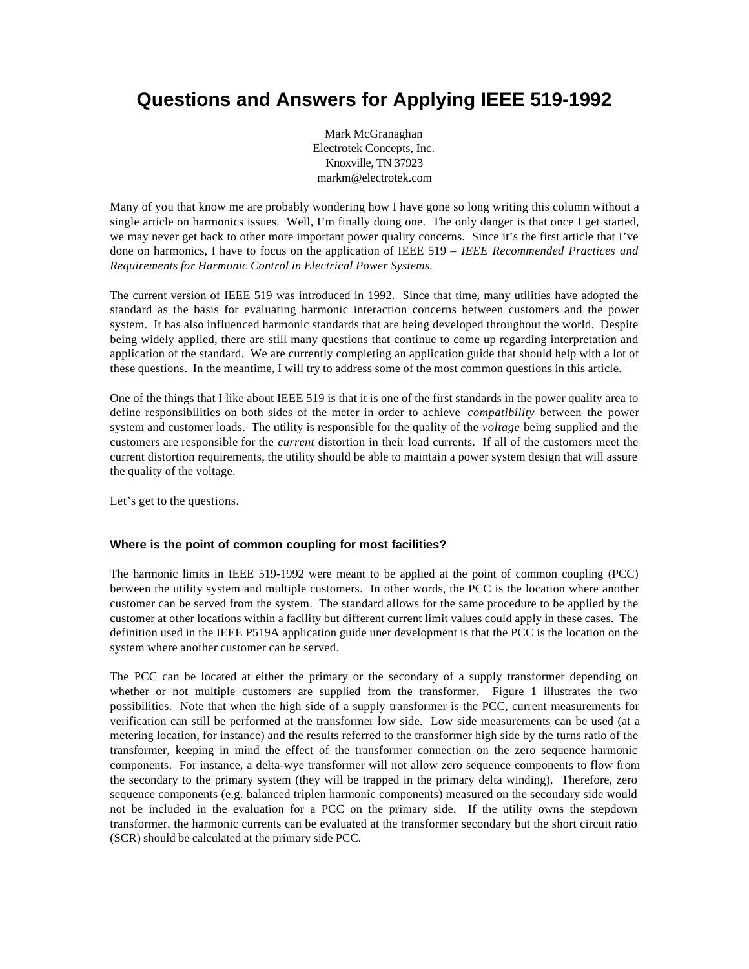# **Questions and Answers for Applying IEEE 519-1992**

Mark McGranaghan Electrotek Concepts, Inc. Knoxville, TN 37923 markm@electrotek.com

Many of you that know me are probably wondering how I have gone so long writing this column without a single article on harmonics issues. Well, I'm finally doing one. The only danger is that once I get started, we may never get back to other more important power quality concerns. Since it's the first article that I've done on harmonics, I have to focus on the application of IEEE 519 – *IEEE Recommended Practices and Requirements for Harmonic Control in Electrical Power Systems.*

The current version of IEEE 519 was introduced in 1992. Since that time, many utilities have adopted the standard as the basis for evaluating harmonic interaction concerns between customers and the power system. It has also influenced harmonic standards that are being developed throughout the world. Despite being widely applied, there are still many questions that continue to come up regarding interpretation and application of the standard. We are currently completing an application guide that should help with a lot of these questions. In the meantime, I will try to address some of the most common questions in this article.

One of the things that I like about IEEE 519 is that it is one of the first standards in the power quality area to define responsibilities on both sides of the meter in order to achieve *compatibility* between the power system and customer loads. The utility is responsible for the quality of the *voltage* being supplied and the customers are responsible for the *current* distortion in their load currents. If all of the customers meet the current distortion requirements, the utility should be able to maintain a power system design that will assure the quality of the voltage.

Let's get to the questions.

# **Where is the point of common coupling for most facilities?**

The harmonic limits in IEEE 519-1992 were meant to be applied at the point of common coupling (PCC) between the utility system and multiple customers. In other words, the PCC is the location where another customer can be served from the system. The standard allows for the same procedure to be applied by the customer at other locations within a facility but different current limit values could apply in these cases. The definition used in the IEEE P519A application guide uner development is that the PCC is the location on the system where another customer can be served.

The PCC can be located at either the primary or the secondary of a supply transformer depending on whether or not multiple customers are supplied from the transformer. Figure 1 illustrates the two possibilities. Note that when the high side of a supply transformer is the PCC, current measurements for verification can still be performed at the transformer low side. Low side measurements can be used (at a metering location, for instance) and the results referred to the transformer high side by the turns ratio of the transformer, keeping in mind the effect of the transformer connection on the zero sequence harmonic components. For instance, a delta-wye transformer will not allow zero sequence components to flow from the secondary to the primary system (they will be trapped in the primary delta winding). Therefore, zero sequence components (e.g. balanced triplen harmonic components) measured on the secondary side would not be included in the evaluation for a PCC on the primary side. If the utility owns the stepdown transformer, the harmonic currents can be evaluated at the transformer secondary but the short circuit ratio (SCR) should be calculated at the primary side PCC.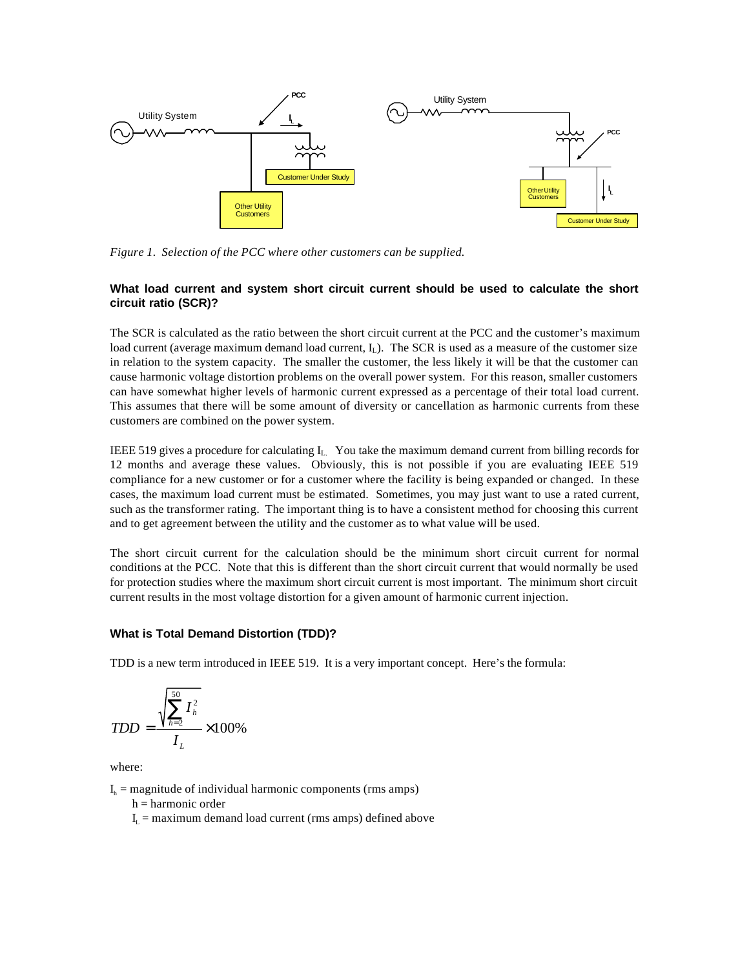

*Figure 1. Selection of the PCC where other customers can be supplied.*

# **What load current and system short circuit current should be used to calculate the short circuit ratio (SCR)?**

The SCR is calculated as the ratio between the short circuit current at the PCC and the customer's maximum load current (average maximum demand load current,  $I_L$ ). The SCR is used as a measure of the customer size in relation to the system capacity. The smaller the customer, the less likely it will be that the customer can cause harmonic voltage distortion problems on the overall power system. For this reason, smaller customers can have somewhat higher levels of harmonic current expressed as a percentage of their total load current. This assumes that there will be some amount of diversity or cancellation as harmonic currents from these customers are combined on the power system.

IEEE 519 gives a procedure for calculating  $I_L$ . You take the maximum demand current from billing records for 12 months and average these values. Obviously, this is not possible if you are evaluating IEEE 519 compliance for a new customer or for a customer where the facility is being expanded or changed. In these cases, the maximum load current must be estimated. Sometimes, you may just want to use a rated current, such as the transformer rating. The important thing is to have a consistent method for choosing this current and to get agreement between the utility and the customer as to what value will be used.

The short circuit current for the calculation should be the minimum short circuit current for normal conditions at the PCC. Note that this is different than the short circuit current that would normally be used for protection studies where the maximum short circuit current is most important. The minimum short circuit current results in the most voltage distortion for a given amount of harmonic current injection.

#### **What is Total Demand Distortion (TDD)?**

TDD is a new term introduced in IEEE 519. It is a very important concept. Here's the formula:

$$
TDD = \frac{\sqrt{\sum_{h=2}^{50} I_h^2}}{I_L} \times 100\%
$$

where:

 $I<sub>h</sub>$  = magnitude of individual harmonic components (rms amps)

 $h =$  harmonic order

 $I_L$  = maximum demand load current (rms amps) defined above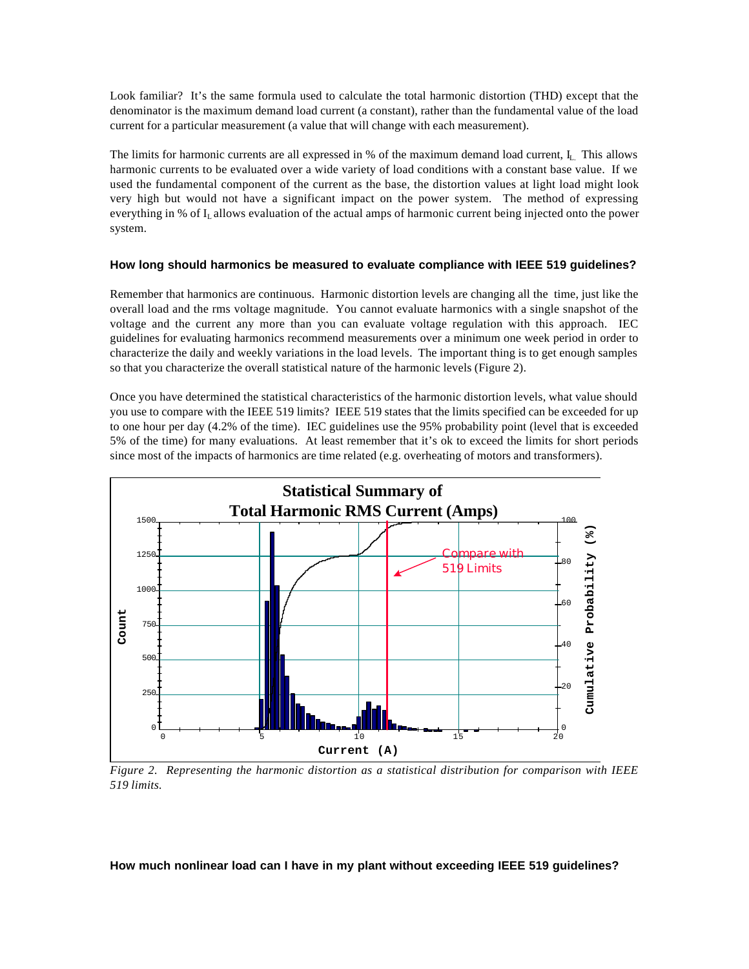Look familiar? It's the same formula used to calculate the total harmonic distortion (THD) except that the denominator is the maximum demand load current (a constant), rather than the fundamental value of the load current for a particular measurement (a value that will change with each measurement).

The limits for harmonic currents are all expressed in  $%$  of the maximum demand load current,  $I_L$ . This allows harmonic currents to be evaluated over a wide variety of load conditions with a constant base value. If we used the fundamental component of the current as the base, the distortion values at light load might look very high but would not have a significant impact on the power system. The method of expressing everything in % of I<sub>L</sub> allows evaluation of the actual amps of harmonic current being injected onto the power system.

### **How long should harmonics be measured to evaluate compliance with IEEE 519 guidelines?**

Remember that harmonics are continuous. Harmonic distortion levels are changing all the time, just like the overall load and the rms voltage magnitude. You cannot evaluate harmonics with a single snapshot of the voltage and the current any more than you can evaluate voltage regulation with this approach. IEC guidelines for evaluating harmonics recommend measurements over a minimum one week period in order to characterize the daily and weekly variations in the load levels. The important thing is to get enough samples so that you characterize the overall statistical nature of the harmonic levels (Figure 2).

Once you have determined the statistical characteristics of the harmonic distortion levels, what value should you use to compare with the IEEE 519 limits? IEEE 519 states that the limits specified can be exceeded for up to one hour per day (4.2% of the time). IEC guidelines use the 95% probability point (level that is exceeded 5% of the time) for many evaluations. At least remember that it's ok to exceed the limits for short periods since most of the impacts of harmonics are time related (e.g. overheating of motors and transformers).



*Figure 2. Representing the harmonic distortion as a statistical distribution for comparison with IEEE 519 limits.*

#### **How much nonlinear load can I have in my plant without exceeding IEEE 519 guidelines?**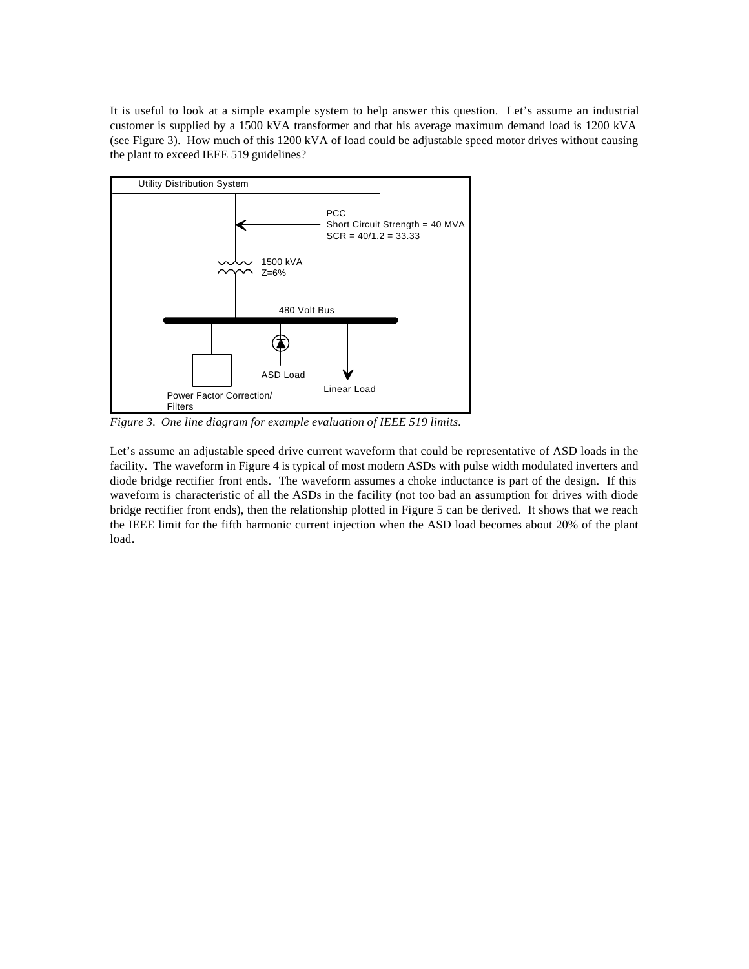It is useful to look at a simple example system to help answer this question. Let's assume an industrial customer is supplied by a 1500 kVA transformer and that his average maximum demand load is 1200 kVA (see Figure 3). How much of this 1200 kVA of load could be adjustable speed motor drives without causing the plant to exceed IEEE 519 guidelines?



*Figure 3. One line diagram for example evaluation of IEEE 519 limits.*

Let's assume an adjustable speed drive current waveform that could be representative of ASD loads in the facility. The waveform in Figure 4 is typical of most modern ASDs with pulse width modulated inverters and diode bridge rectifier front ends. The waveform assumes a choke inductance is part of the design. If this waveform is characteristic of all the ASDs in the facility (not too bad an assumption for drives with diode bridge rectifier front ends), then the relationship plotted in Figure 5 can be derived. It shows that we reach the IEEE limit for the fifth harmonic current injection when the ASD load becomes about 20% of the plant load.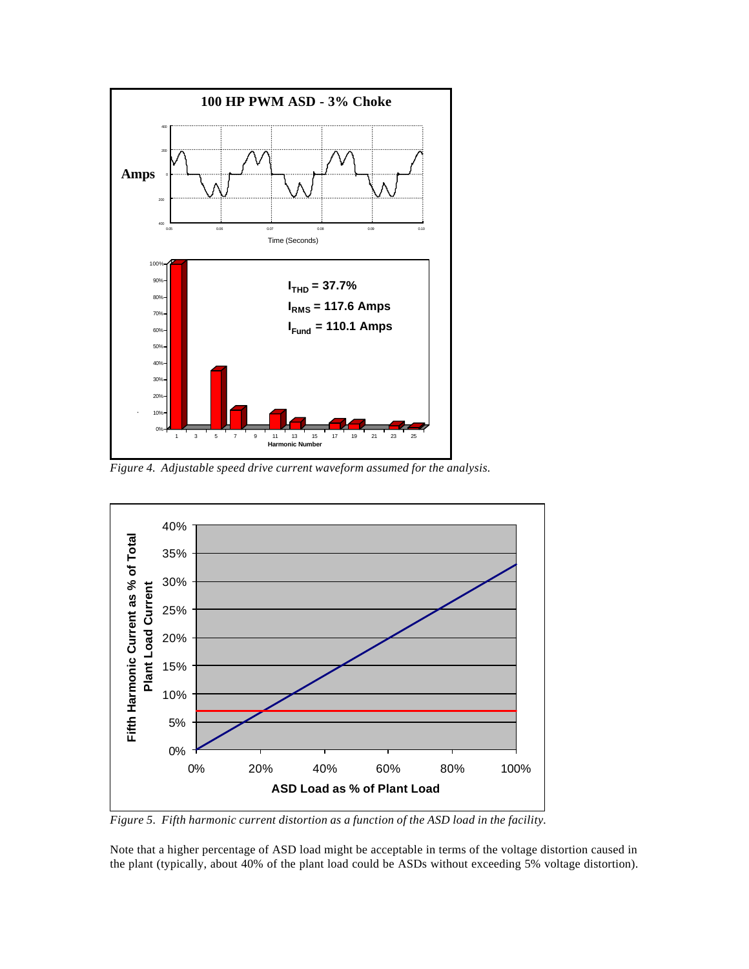

*Figure 4. Adjustable speed drive current waveform assumed for the analysis.*



*Figure 5. Fifth harmonic current distortion as a function of the ASD load in the facility.*

Note that a higher percentage of ASD load might be acceptable in terms of the voltage distortion caused in the plant (typically, about 40% of the plant load could be ASDs without exceeding 5% voltage distortion).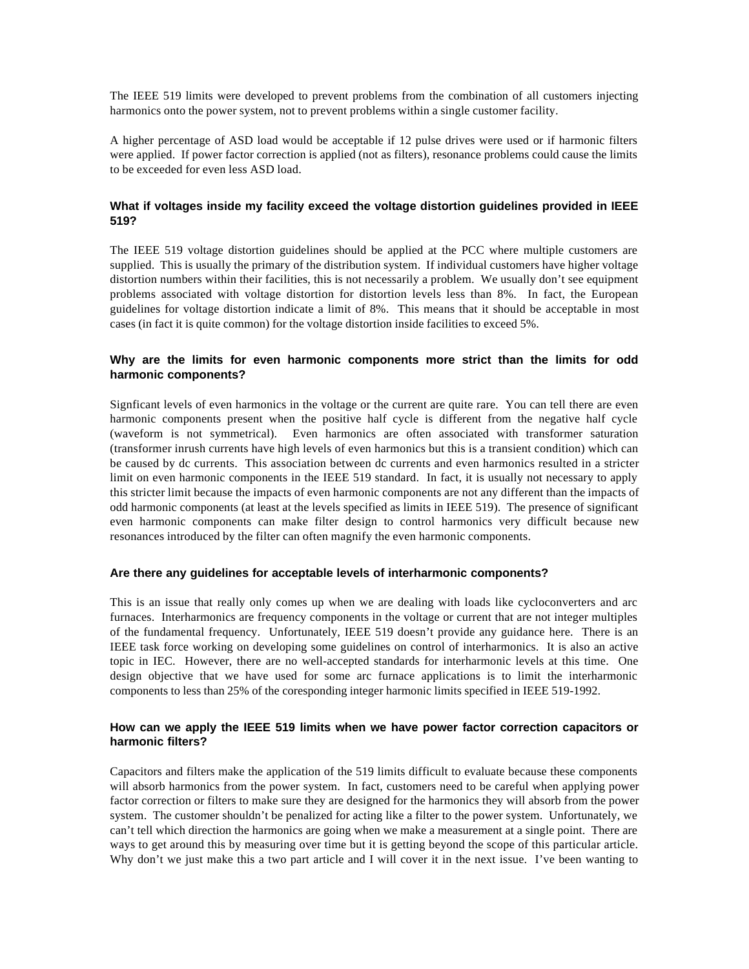The IEEE 519 limits were developed to prevent problems from the combination of all customers injecting harmonics onto the power system, not to prevent problems within a single customer facility.

A higher percentage of ASD load would be acceptable if 12 pulse drives were used or if harmonic filters were applied. If power factor correction is applied (not as filters), resonance problems could cause the limits to be exceeded for even less ASD load.

## **What if voltages inside my facility exceed the voltage distortion guidelines provided in IEEE 519?**

The IEEE 519 voltage distortion guidelines should be applied at the PCC where multiple customers are supplied. This is usually the primary of the distribution system. If individual customers have higher voltage distortion numbers within their facilities, this is not necessarily a problem. We usually don't see equipment problems associated with voltage distortion for distortion levels less than 8%. In fact, the European guidelines for voltage distortion indicate a limit of 8%. This means that it should be acceptable in most cases (in fact it is quite common) for the voltage distortion inside facilities to exceed 5%.

## **Why are the limits for even harmonic components more strict than the limits for odd harmonic components?**

Signficant levels of even harmonics in the voltage or the current are quite rare. You can tell there are even harmonic components present when the positive half cycle is different from the negative half cycle (waveform is not symmetrical). Even harmonics are often associated with transformer saturation (transformer inrush currents have high levels of even harmonics but this is a transient condition) which can be caused by dc currents. This association between dc currents and even harmonics resulted in a stricter limit on even harmonic components in the IEEE 519 standard. In fact, it is usually not necessary to apply this stricter limit because the impacts of even harmonic components are not any different than the impacts of odd harmonic components (at least at the levels specified as limits in IEEE 519). The presence of significant even harmonic components can make filter design to control harmonics very difficult because new resonances introduced by the filter can often magnify the even harmonic components.

#### **Are there any guidelines for acceptable levels of interharmonic components?**

This is an issue that really only comes up when we are dealing with loads like cycloconverters and arc furnaces. Interharmonics are frequency components in the voltage or current that are not integer multiples of the fundamental frequency. Unfortunately, IEEE 519 doesn't provide any guidance here. There is an IEEE task force working on developing some guidelines on control of interharmonics. It is also an active topic in IEC. However, there are no well-accepted standards for interharmonic levels at this time. One design objective that we have used for some arc furnace applications is to limit the interharmonic components to less than 25% of the coresponding integer harmonic limits specified in IEEE 519-1992.

# **How can we apply the IEEE 519 limits when we have power factor correction capacitors or harmonic filters?**

Capacitors and filters make the application of the 519 limits difficult to evaluate because these components will absorb harmonics from the power system. In fact, customers need to be careful when applying power factor correction or filters to make sure they are designed for the harmonics they will absorb from the power system. The customer shouldn't be penalized for acting like a filter to the power system. Unfortunately, we can't tell which direction the harmonics are going when we make a measurement at a single point. There are ways to get around this by measuring over time but it is getting beyond the scope of this particular article. Why don't we just make this a two part article and I will cover it in the next issue. I've been wanting to